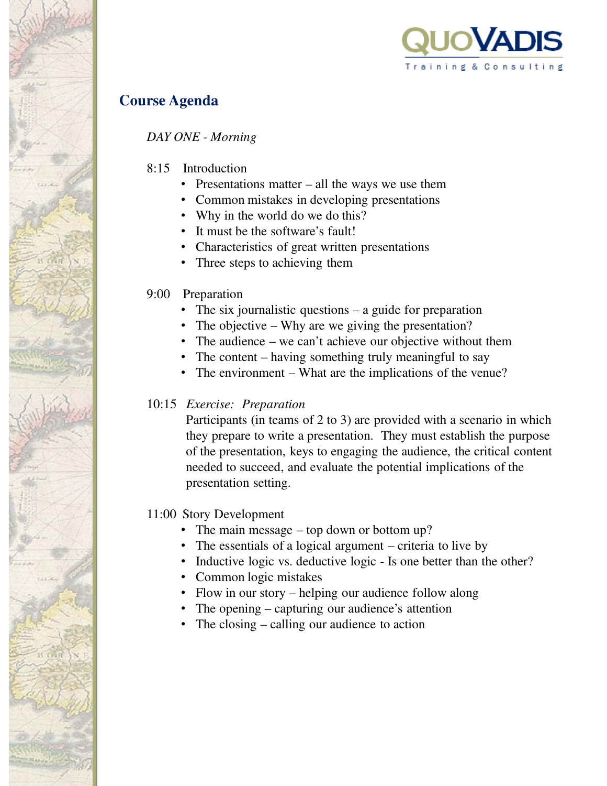

# **Course Agenda**

*DAY ONE - Morning*

- 8:15 Introduction
	- Presentations matter all the ways we use them
	- Common mistakes in developing presentations
	- Why in the world do we do this?
	- It must be the software's fault!
	- Characteristics of great written presentations
	- Three steps to achieving them

## 9:00 Preparation

- The six journalistic questions a guide for preparation
- The objective Why are we giving the presentation?
- The audience we can't achieve our objective without them
- The content having something truly meaningful to say
- The environment What are the implications of the venue?

## 10:15 *Exercise: Preparation*

Participants (in teams of 2 to 3) are provided with a scenario in which they prepare to write a presentation. They must establish the purpose of the presentation, keys to engaging the audience, the critical content needed to succeed, and evaluate the potential implications of the presentation setting.

## 11:00 Story Development

- The main message top down or bottom up?
- The essentials of a logical argument criteria to live by
- Inductive logic vs. deductive logic Is one better than the other?
- Common logic mistakes
- Flow in our story helping our audience follow along
- The opening capturing our audience's attention
- The closing calling our audience to action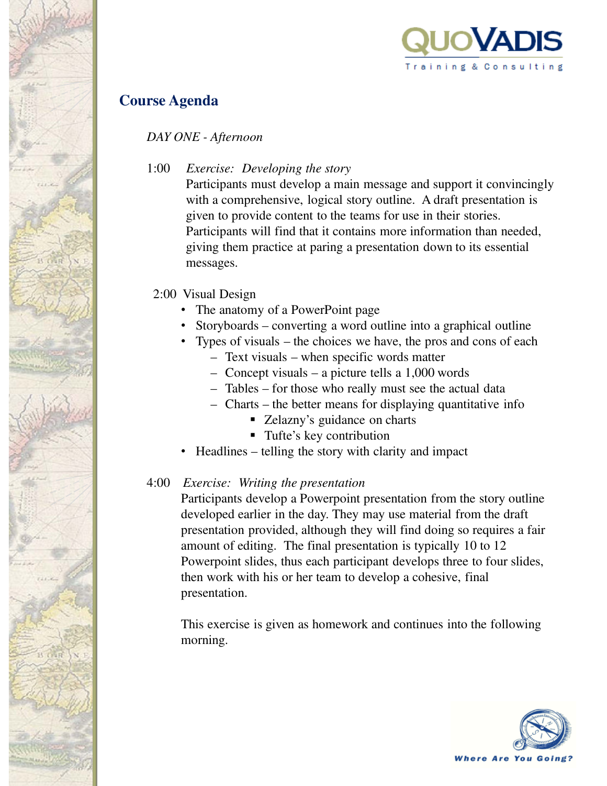

## **Course Agenda**

*DAY ONE - Afternoon*

1:00 *Exercise: Developing the story*

Participants must develop a main message and support it convincingly with a comprehensive, logical story outline. A draft presentation is given to provide content to the teams for use in their stories. Participants will find that it contains more information than needed, giving them practice at paring a presentation down to its essential messages.

#### 2:00 Visual Design

- The anatomy of a PowerPoint page
- Storyboards converting a word outline into a graphical outline
- Types of visuals the choices we have, the pros and cons of each
	- Text visuals when specific words matter
	- Concept visuals a picture tells a 1,000 words
	- Tables for those who really must see the actual data
	- Charts the better means for displaying quantitative info
		- Zelazny's guidance on charts
		- Tufte's key contribution
- Headlines telling the story with clarity and impact

#### 4:00 *Exercise: Writing the presentation*

Participants develop a Powerpoint presentation from the story outline developed earlier in the day. They may use material from the draft presentation provided, although they will find doing so requires a fair amount of editing. The final presentation is typically 10 to 12 Powerpoint slides, thus each participant develops three to four slides, then work with his or her team to develop a cohesive, final presentation.

This exercise is given as homework and continues into the following morning.